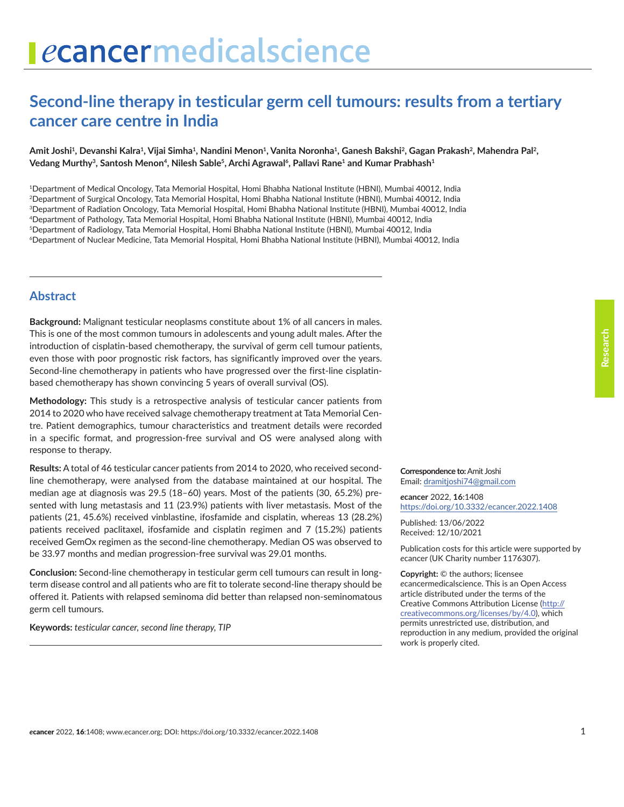# ecancermedicalscience

# **Second-line therapy in testicular germ cell tumours: results from a tertiary cancer care centre in India**

#### Amit Joshi<sup>1</sup>, Devanshi Kalra<sup>1</sup>, Vijai Simha<sup>1</sup>, Nandini Menon<sup>1</sup>, Vanita Noronha<sup>1</sup>, Ganesh Bakshi<sup>2</sup>, Gagan Prakash<sup>2</sup>, Mahendra Pal<sup>2</sup>, Vedang Murthy<sup>3</sup>, Santosh Menon<sup>4</sup>, Nilesh Sable<sup>5</sup>, Archi Agrawal<sup>6</sup>, Pallavi Rane<sup>1</sup> and Kumar Prabhash<sup>1</sup>

1Department of Medical Oncology, Tata Memorial Hospital, Homi Bhabha National Institute (HBNI), Mumbai 40012, India 2Department of Surgical Oncology, Tata Memorial Hospital, Homi Bhabha National Institute (HBNI), Mumbai 40012, India 3Department of Radiation Oncology, Tata Memorial Hospital, Homi Bhabha National Institute (HBNI), Mumbai 40012, India 4Department of Pathology, Tata Memorial Hospital, Homi Bhabha National Institute (HBNI), Mumbai 40012, India 5Department of Radiology, Tata Memorial Hospital, Homi Bhabha National Institute (HBNI), Mumbai 40012, India 6Department of Nuclear Medicine, Tata Memorial Hospital, Homi Bhabha National Institute (HBNI), Mumbai 40012, India

#### **Abstract**

**Background:** Malignant testicular neoplasms constitute about 1% of all cancers in males. This is one of the most common tumours in adolescents and young adult males. After the introduction of cisplatin-based chemotherapy, the survival of germ cell tumour patients, even those with poor prognostic risk factors, has significantly improved over the years. Second-line chemotherapy in patients who have progressed over the first-line cisplatinbased chemotherapy has shown convincing 5 years of overall survival (OS).

**Methodology:** This study is a retrospective analysis of testicular cancer patients from 2014 to 2020 who have received salvage chemotherapy treatment at Tata Memorial Centre. Patient demographics, tumour characteristics and treatment details were recorded in a specific format, and progression-free survival and OS were analysed along with response to therapy.

**Results:** A total of 46 testicular cancer patients from 2014 to 2020, who received secondline chemotherapy, were analysed from the database maintained at our hospital. The median age at diagnosis was 29.5 (18–60) years. Most of the patients (30, 65.2%) presented with lung metastasis and 11 (23.9%) patients with liver metastasis. Most of the patients (21, 45.6%) received vinblastine, ifosfamide and cisplatin, whereas 13 (28.2%) patients received paclitaxel, ifosfamide and cisplatin regimen and 7 (15.2%) patients received GemOx regimen as the second-line chemotherapy. Median OS was observed to be 33.97 months and median progression-free survival was 29.01 months.

**Conclusion:** Second-line chemotherapy in testicular germ cell tumours can result in longterm disease control and all patients who are fit to tolerate second-line therapy should be offered it. Patients with relapsed seminoma did better than relapsed non-seminomatous germ cell tumours.

**Keywords:** *testicular cancer, second line therapy, TIP*

**Correspondence to:**Amit Joshi Email: [dramitjoshi74@gmail.com](mailto:dramitjoshi74@gmail.com)

*e***cancer** 2022, **16**:1408 <https://doi.org/10.3332/ecancer.2022.1408>

Published: 13/06/2022 Received: 12/10/2021

Publication costs for this article were supported by *e*cancer (UK Charity number 1176307).

**Copyright:** © the authors; licensee *e*cancermedicalscience. This is an Open Access article distributed under the terms of the Creative Commons Attribution License (http:// creativecommons.org/licenses/by/4.0), which permits unrestricted use, distribution, and reproduction in any medium, provided the original work is properly cited.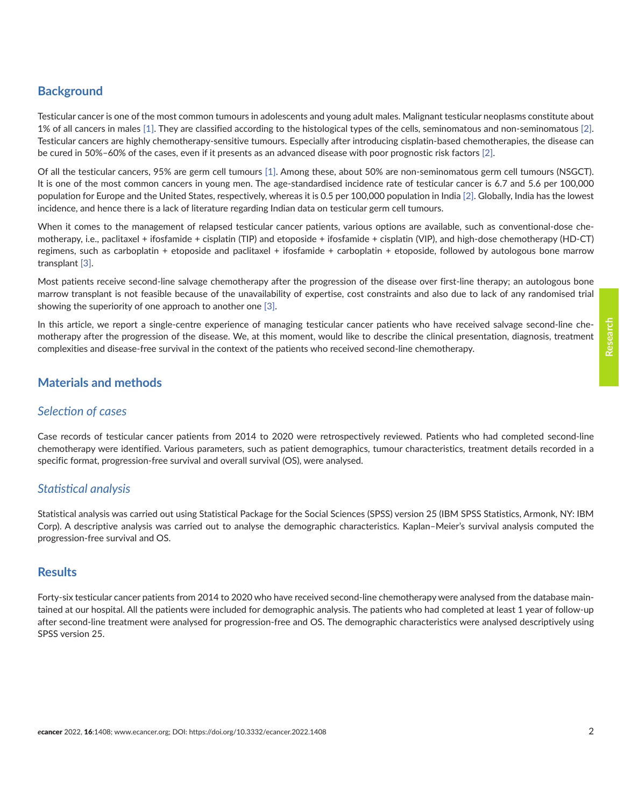#### **Background**

Testicular cancer is one of the most common tumours in adolescents and young adult males. Malignant testicular neoplasms constitute about 1% of all cancers in males [\[1\]](#page-7-0). They are classified according to the histological types of the cells, seminomatous and non-seminomatous [\[2\].](#page-7-0) Testicular cancers are highly chemotherapy-sensitive tumours. Especially after introducing cisplatin-based chemotherapies, the disease can be cured in 50%–60% of the cases, even if it presents as an advanced disease with poor prognostic risk factors [\[2\].](#page-7-0)

Of all the testicular cancers, 95% are germ cell tumours [\[1\].](#page-7-0) Among these, about 50% are non-seminomatous germ cell tumours (NSGCT). It is one of the most common cancers in young men. The age-standardised incidence rate of testicular cancer is 6.7 and 5.6 per 100,000 population for Europe and the United States, respectively, whereas it is 0.5 per 100,000 population in India [\[2\]](#page-7-0). Globally, India has the lowest incidence, and hence there is a lack of literature regarding Indian data on testicular germ cell tumours.

When it comes to the management of relapsed testicular cancer patients, various options are available, such as conventional-dose chemotherapy, i.e., paclitaxel + ifosfamide + cisplatin (TIP) and etoposide + ifosfamide + cisplatin (VIP), and high-dose chemotherapy (HD-CT) regimens, such as carboplatin + etoposide and paclitaxel + ifosfamide + carboplatin + etoposide, followed by autologous bone marrow transplant [\[3\].](#page-7-0)

Most patients receive second-line salvage chemotherapy after the progression of the disease over first-line therapy; an autologous bone marrow transplant is not feasible because of the unavailability of expertise, cost constraints and also due to lack of any randomised trial showing the superiority of one approach to another one [\[3\].](#page-7-0)

In this article, we report a single-centre experience of managing testicular cancer patients who have received salvage second-line chemotherapy after the progression of the disease. We, at this moment, would like to describe the clinical presentation, diagnosis, treatment complexities and disease-free survival in the context of the patients who received second-line chemotherapy.

## **Materials and methods**

#### *Selection of cases*

Case records of testicular cancer patients from 2014 to 2020 were retrospectively reviewed. Patients who had completed second-line chemotherapy were identified. Various parameters, such as patient demographics, tumour characteristics, treatment details recorded in a specific format, progression-free survival and overall survival (OS), were analysed.

#### *Statistical analysis*

Statistical analysis was carried out using Statistical Package for the Social Sciences (SPSS) version 25 (IBM SPSS Statistics, Armonk, NY: IBM Corp). A descriptive analysis was carried out to analyse the demographic characteristics. Kaplan–Meier's survival analysis computed the progression-free survival and OS.

#### **Results**

Forty-six testicular cancer patients from 2014 to 2020 who have received second-line chemotherapy were analysed from the database maintained at our hospital. All the patients were included for demographic analysis. The patients who had completed at least 1 year of follow-up after second-line treatment were analysed for progression-free and OS. The demographic characteristics were analysed descriptively using SPSS version 25.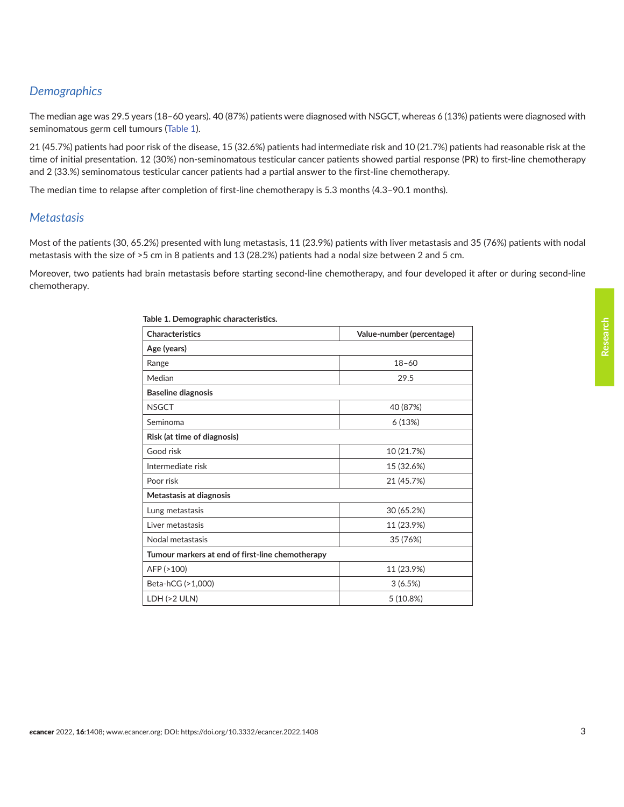# *Demographics*

The median age was 29.5 years (18–60 years). 40 (87%) patients were diagnosed with NSGCT, whereas 6 (13%) patients were diagnosed with seminomatous germ cell tumours (Table 1).

21 (45.7%) patients had poor risk of the disease, 15 (32.6%) patients had intermediate risk and 10 (21.7%) patients had reasonable risk at the time of initial presentation. 12 (30%) non-seminomatous testicular cancer patients showed partial response (PR) to first-line chemotherapy and 2 (33.%) seminomatous testicular cancer patients had a partial answer to the first-line chemotherapy.

The median time to relapse after completion of first-line chemotherapy is 5.3 months (4.3–90.1 months).

#### *Metastasis*

Most of the patients (30, 65.2%) presented with lung metastasis, 11 (23.9%) patients with liver metastasis and 35 (76%) patients with nodal metastasis with the size of >5 cm in 8 patients and 13 (28.2%) patients had a nodal size between 2 and 5 cm.

Moreover, two patients had brain metastasis before starting second-line chemotherapy, and four developed it after or during second-line chemotherapy.

| <b>Characteristics</b>                           | Value-number (percentage) |
|--------------------------------------------------|---------------------------|
| Age (years)                                      |                           |
| Range                                            | $18 - 60$                 |
| Median                                           | 29.5                      |
| <b>Baseline diagnosis</b>                        |                           |
| <b>NSGCT</b>                                     | 40 (87%)                  |
| Seminoma                                         | 6(13%)                    |
| Risk (at time of diagnosis)                      |                           |
| Good risk                                        | 10 (21.7%)                |
| Intermediate risk                                | 15 (32.6%)                |
| Poor risk                                        | 21 (45.7%)                |
| Metastasis at diagnosis                          |                           |
| Lung metastasis                                  | 30 (65.2%)                |
| Liver metastasis                                 | 11 (23.9%)                |
| Nodal metastasis                                 | 35 (76%)                  |
| Tumour markers at end of first-line chemotherapy |                           |
| AFP (>100)                                       | 11 (23.9%)                |
| Beta-hCG (>1,000)                                | 3(6.5%)                   |
| LDH (>2 ULN)                                     | 5(10.8%)                  |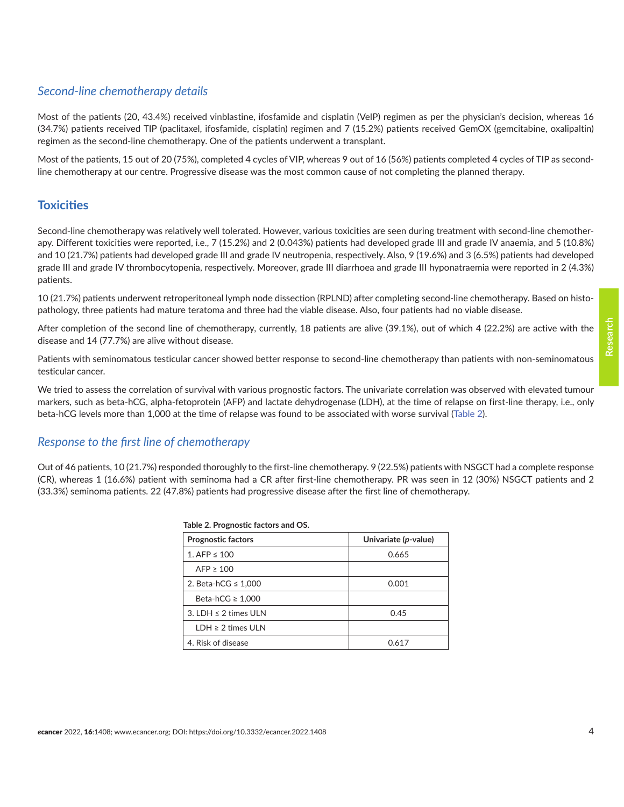#### *Second-line chemotherapy details*

Most of the patients (20, 43.4%) received vinblastine, ifosfamide and cisplatin (VeIP) regimen as per the physician's decision, whereas 16 (34.7%) patients received TIP (paclitaxel, ifosfamide, cisplatin) regimen and 7 (15.2%) patients received GemOX (gemcitabine, oxalipaltin) regimen as the second-line chemotherapy. One of the patients underwent a transplant.

Most of the patients, 15 out of 20 (75%), completed 4 cycles of VIP, whereas 9 out of 16 (56%) patients completed 4 cycles of TIP as secondline chemotherapy at our centre. Progressive disease was the most common cause of not completing the planned therapy.

#### **Toxicities**

Second-line chemotherapy was relatively well tolerated. However, various toxicities are seen during treatment with second-line chemotherapy. Different toxicities were reported, i.e., 7 (15.2%) and 2 (0.043%) patients had developed grade III and grade IV anaemia, and 5 (10.8%) and 10 (21.7%) patients had developed grade III and grade IV neutropenia, respectively. Also, 9 (19.6%) and 3 (6.5%) patients had developed grade III and grade IV thrombocytopenia, respectively. Moreover, grade III diarrhoea and grade III hyponatraemia were reported in 2 (4.3%) patients.

10 (21.7%) patients underwent retroperitoneal lymph node dissection (RPLND) after completing second-line chemotherapy. Based on histopathology, three patients had mature teratoma and three had the viable disease. Also, four patients had no viable disease.

After completion of the second line of chemotherapy, currently, 18 patients are alive (39.1%), out of which 4 (22.2%) are active with the disease and 14 (77.7%) are alive without disease.

Patients with seminomatous testicular cancer showed better response to second-line chemotherapy than patients with non-seminomatous testicular cancer.

We tried to assess the correlation of survival with various prognostic factors. The univariate correlation was observed with elevated tumour markers, such as beta-hCG, alpha-fetoprotein (AFP) and lactate dehydrogenase (LDH), at the time of relapse on first-line therapy, i.e., only beta-hCG levels more than 1,000 at the time of relapse was found to be associated with worse survival (Table 2).

#### *Response to the first line of chemotherapy*

Out of 46 patients, 10 (21.7%) responded thoroughly to the first-line chemotherapy. 9 (22.5%) patients with NSGCT had a complete response (CR), whereas 1 (16.6%) patient with seminoma had a CR after first-line chemotherapy. PR was seen in 12 (30%) NSGCT patients and 2 (33.3%) seminoma patients. 22 (47.8%) patients had progressive disease after the first line of chemotherapy.

| 1800                      |                      |  |  |  |
|---------------------------|----------------------|--|--|--|
| <b>Prognostic factors</b> | Univariate (p-value) |  |  |  |
| 1. AFP $\leq 100$         | 0.665                |  |  |  |
| $AFP \geq 100$            |                      |  |  |  |
| 2. Beta-hCG $\leq$ 1,000  | 0.001                |  |  |  |
| Beta-hCG $\geq 1,000$     |                      |  |  |  |
| 3. LDH $\leq$ 2 times ULN | 0.45                 |  |  |  |
| $LDH \geq 2$ times ULN    |                      |  |  |  |
| 4. Risk of disease        | 0.617                |  |  |  |

#### **Table 2. Prognostic factors and OS.**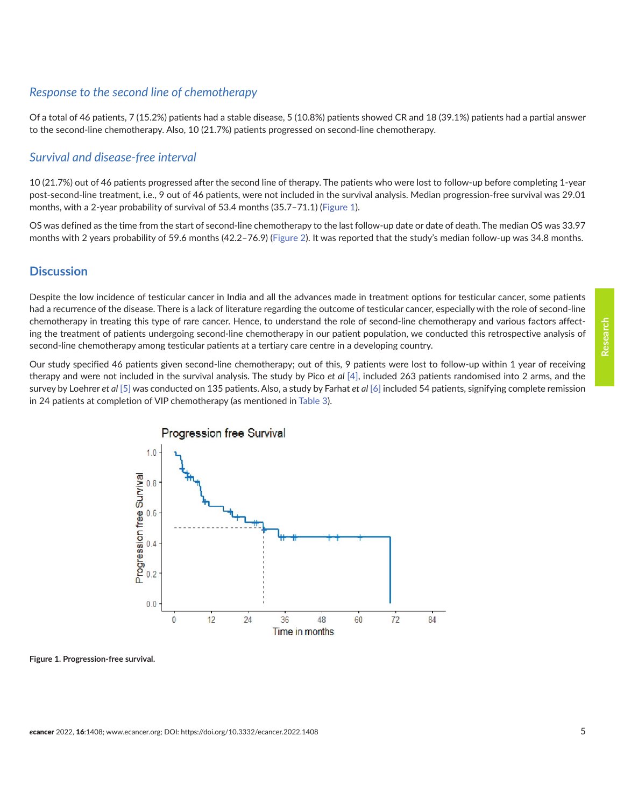#### *Response to the second line of chemotherapy*

Of a total of 46 patients, 7 (15.2%) patients had a stable disease, 5 (10.8%) patients showed CR and 18 (39.1%) patients had a partial answer to the second-line chemotherapy. Also, 10 (21.7%) patients progressed on second-line chemotherapy.

#### *Survival and disease-free interval*

10 (21.7%) out of 46 patients progressed after the second line of therapy. The patients who were lost to follow-up before completing 1-year post-second-line treatment, i.e., 9 out of 46 patients, were not included in the survival analysis. Median progression-free survival was 29.01 months, with a 2-year probability of survival of 53.4 months (35.7–71.1) (Figure 1).

OS was defined as the time from the start of second-line chemotherapy to the last follow-up date or date of death. The median OS was 33.97 months with 2 years probability of 59.6 months (42.2–76.9) ([Figure 2](#page-5-0)). It was reported that the study's median follow-up was 34.8 months.

#### **Discussion**

Despite the low incidence of testicular cancer in India and all the advances made in treatment options for testicular cancer, some patients had a recurrence of the disease. There is a lack of literature regarding the outcome of testicular cancer, especially with the role of second-line chemotherapy in treating this type of rare cancer. Hence, to understand the role of second-line chemotherapy and various factors affecting the treatment of patients undergoing second-line chemotherapy in our patient population, we conducted this retrospective analysis of second-line chemotherapy among testicular patients at a tertiary care centre in a developing country.

Our study specified 46 patients given second-line chemotherapy; out of this, 9 patients were lost to follow-up within 1 year of receiving therapy and were not included in the survival analysis. The study by Pico *et al* [\[4\],](#page-7-0) included 263 patients randomised into 2 arms, and the survey by Loehrer *et al* [\[5\]](#page-7-0) was conducted on 135 patients. Also, a study by Farhat *et al* [\[6\]](#page-7-0) included 54 patients, signifying complete remission in 24 patients at completion of VIP chemotherapy (as mentioned in [Table 3](#page-5-0)).



**Figure 1. Progression-free survival.**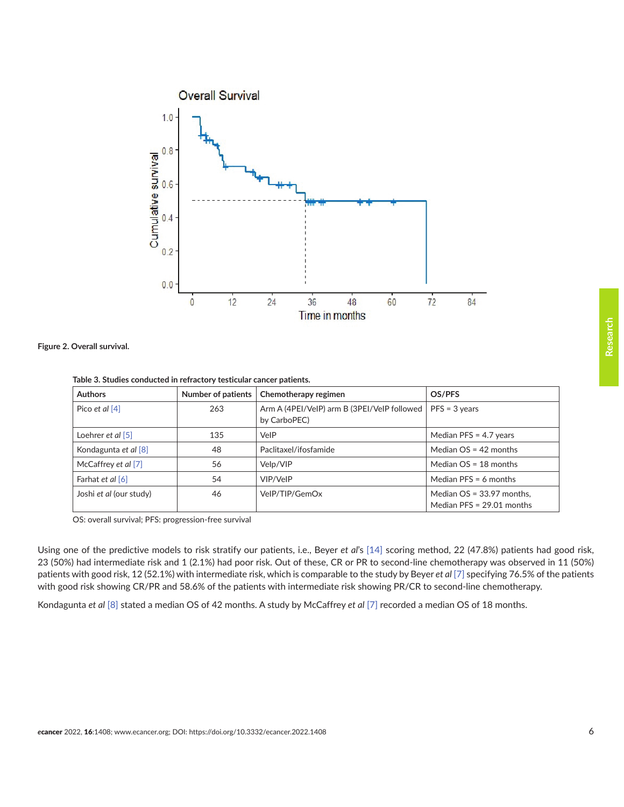<span id="page-5-0"></span>

**Figure 2. Overall survival.**

**Table 3. Studies conducted in refractory testicular cancer patients.**

| <b>Authors</b>                         | Number of patients | Chemotherapy regimen                                        | OS/PFS                                                     |
|----------------------------------------|--------------------|-------------------------------------------------------------|------------------------------------------------------------|
| Pico et al [4]                         | 263                | Arm A (4PEI/VeIP) arm B (3PEI/VeIP followed<br>by CarboPEC) | $PFS = 3 \text{ years}$                                    |
| Loehrer <i>et al</i> $\lceil 5 \rceil$ | 135                | VelP                                                        | Median PFS = $4.7$ years                                   |
| Kondagunta et al [8]                   | 48                 | Paclitaxel/ifosfamide                                       | Median $OS = 42$ months                                    |
| McCaffrey et al [7]                    | 56                 | Velp/VIP                                                    | Median $OS = 18$ months                                    |
| Farhat et al [6]                       | 54                 | VIP/VeIP                                                    | Median $PFS = 6$ months                                    |
| Joshi et al (our study)                | 46                 | VelP/TIP/GemOx                                              | Median $OS = 33.97$ months,<br>Median PFS = $29.01$ months |

OS: overall survival; PFS: progression-free survival

Using one of the predictive models to risk stratify our patients, i.e., Beyer *et al*'s [\[14\]](#page-8-0) scoring method, 22 (47.8%) patients had good risk, 23 (50%) had intermediate risk and 1 (2.1%) had poor risk. Out of these, CR or PR to second-line chemotherapy was observed in 11 (50%) patients with good risk, 12 (52.1%) with intermediate risk, which is comparable to the study by Beyer *et al* [\[7\]](#page-7-0) specifying 76.5% of the patients with good risk showing CR/PR and 58.6% of the patients with intermediate risk showing PR/CR to second-line chemotherapy.

Kondagunta *et al* [\[8\]](#page-7-0) stated a median OS of 42 months. A study by McCaffrey *et al* [\[7\]](#page-7-0) recorded a median OS of 18 months.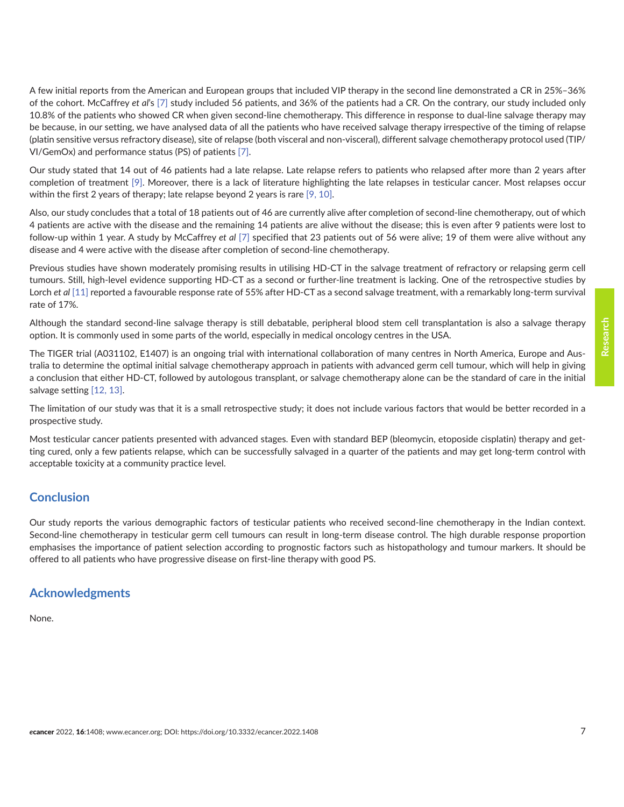A few initial reports from the American and European groups that included VIP therapy in the second line demonstrated a CR in 25%–36% of the cohort. McCaffrey *et al*'s [\[7\]](#page-7-0) study included 56 patients, and 36% of the patients had a CR. On the contrary, our study included only 10.8% of the patients who showed CR when given second-line chemotherapy. This difference in response to dual-line salvage therapy may be because, in our setting, we have analysed data of all the patients who have received salvage therapy irrespective of the timing of relapse (platin sensitive versus refractory disease), site of relapse (both visceral and non-visceral), different salvage chemotherapy protocol used (TIP/ VI/GemOx) and performance status (PS) of patients [\[7\]](#page-7-0).

Our study stated that 14 out of 46 patients had a late relapse. Late relapse refers to patients who relapsed after more than 2 years after completion of treatment [\[9\].](#page-7-0) Moreover, there is a lack of literature highlighting the late relapses in testicular cancer. Most relapses occur within the first 2 years of therapy; late relapse beyond 2 years is rare [\[9, 10\]](#page-7-0).

Also, our study concludes that a total of 18 patients out of 46 are currently alive after completion of second-line chemotherapy, out of which 4 patients are active with the disease and the remaining 14 patients are alive without the disease; this is even after 9 patients were lost to follow-up within 1 year. A study by McCaffrey *et al* [\[7\]](#page-7-0) specified that 23 patients out of 56 were alive; 19 of them were alive without any disease and 4 were active with the disease after completion of second-line chemotherapy.

Previous studies have shown moderately promising results in utilising HD-CT in the salvage treatment of refractory or relapsing germ cell tumours. Still, high-level evidence supporting HD-CT as a second or further-line treatment is lacking. One of the retrospective studies by Lorch *et al* [\[11\]](#page-8-0) reported a favourable response rate of 55% after HD-CT as a second salvage treatment, with a remarkably long-term survival rate of 17%.

Although the standard second-line salvage therapy is still debatable, peripheral blood stem cell transplantation is also a salvage therapy option. It is commonly used in some parts of the world, especially in medical oncology centres in the USA.

The TIGER trial (A031102, E1407) is an ongoing trial with international collaboration of many centres in North America, Europe and Australia to determine the optimal initial salvage chemotherapy approach in patients with advanced germ cell tumour, which will help in giving a conclusion that either HD-CT, followed by autologous transplant, or salvage chemotherapy alone can be the standard of care in the initial salvage setting [\[12, 13\]](#page-8-0).

The limitation of our study was that it is a small retrospective study; it does not include various factors that would be better recorded in a prospective study.

Most testicular cancer patients presented with advanced stages. Even with standard BEP (bleomycin, etoposide cisplatin) therapy and getting cured, only a few patients relapse, which can be successfully salvaged in a quarter of the patients and may get long-term control with acceptable toxicity at a community practice level.

## **Conclusion**

Our study reports the various demographic factors of testicular patients who received second-line chemotherapy in the Indian context. Second-line chemotherapy in testicular germ cell tumours can result in long-term disease control. The high durable response proportion emphasises the importance of patient selection according to prognostic factors such as histopathology and tumour markers. It should be offered to all patients who have progressive disease on first-line therapy with good PS.

#### **Acknowledgments**

None.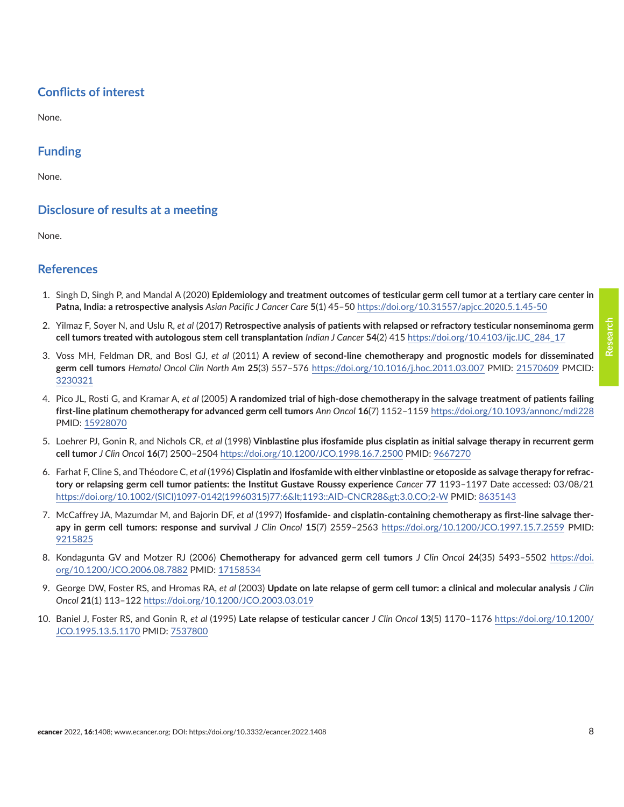#### *e*cancer 2022, 16:1408; www.ecancer.org; DOI: <https://doi.org/10.3332/ecancer.2022.1408> 8

#### <span id="page-7-0"></span>**Conflicts of interest**

None.

#### **Funding**

None.

#### **Disclosure of results at a meeting**

None.

#### **References**

- 1. Singh D, Singh P, and Mandal A (2020) **Epidemiology and treatment outcomes of testicular germ cell tumor at a tertiary care center in Patna, India: a retrospective analysis** *Asian Pacific J Cancer Care* **5**(1) 45–50 <https://doi.org/10.31557/apjcc.2020.5.1.45-50>
- 2. Yilmaz F, Soyer N, and Uslu R, *et al* (2017) **Retrospective analysis of patients with relapsed or refractory testicular nonseminoma germ cell tumors treated with autologous stem cell transplantation** *Indian J Cancer* **54**(2) 415 [https://doi.org/10.4103/ijc.IJC\\_284\\_17](https://doi.org/10.4103/ijc.IJC_284_17)
- 3. Voss MH, Feldman DR, and Bosl GJ, *et al* (2011) **A review of second-line chemotherapy and prognostic models for disseminated germ cell tumors** *Hematol Oncol Clin North Am* **25**(3) 557–576 <https://doi.org/10.1016/j.hoc.2011.03.007> PMID: [21570609](http://www.ncbi.nlm.nih.gov/pubmed/21570609) PMCID: [3230321](http://www.ncbi.nlm.nih.gov/pmc/articles/PMC3230321)
- 4. Pico JL, Rosti G, and Kramar A, *et al* (2005) **A randomized trial of high-dose chemotherapy in the salvage treatment of patients failing first-line platinum chemotherapy for advanced germ cell tumors** *Ann Oncol* **16**(7) 1152–1159<https://doi.org/10.1093/annonc/mdi228> PMID: [15928070](http://www.ncbi.nlm.nih.gov/pubmed/15928070)
- 5. Loehrer PJ, Gonin R, and Nichols CR, *et al* (1998) **Vinblastine plus ifosfamide plus cisplatin as initial salvage therapy in recurrent germ cell tumor** *J Clin Oncol* **16**(7) 2500–2504<https://doi.org/10.1200/JCO.1998.16.7.2500>PMID: [9667270](http://www.ncbi.nlm.nih.gov/pubmed/9667270)
- 6. Farhat F, Cline S, and Théodore C, *et al* (1996) **Cisplatin and ifosfamide with either vinblastine or etoposide as salvage therapy for refractory or relapsing germ cell tumor patients: the Institut Gustave Roussy experience** *Cancer* **77** 1193–1197 Date accessed: 03/08/21 https://doi.org/10.1002/(SICI)1097-0142(19960315)77:6<1193::AID-CNCR28&gt;3.0.CO;2-W PMID: [8635143](http://www.ncbi.nlm.nih.gov/pubmed/8635143)
- 7. McCaffrey JA, Mazumdar M, and Bajorin DF, *et al* (1997) **Ifosfamide- and cisplatin-containing chemotherapy as first-line salvage therapy in germ cell tumors: response and survival** *J Clin Oncol* **15**(7) 2559–2563 <https://doi.org/10.1200/JCO.1997.15.7.2559> PMID: [9215825](http://www.ncbi.nlm.nih.gov/pubmed/9215825)
- 8. Kondagunta GV and Motzer RJ (2006) **Chemotherapy for advanced germ cell tumors** *J Clin Oncol* **24**(35) 5493–5502 [https://doi.](https://doi.org/10.1200/JCO.2006.08.7882) [org/10.1200/JCO.2006.08.7882](https://doi.org/10.1200/JCO.2006.08.7882) PMID: [17158534](http://www.ncbi.nlm.nih.gov/pubmed/17158534)
- 9. George DW, Foster RS, and Hromas RA, *et al* (2003) **Update on late relapse of germ cell tumor: a clinical and molecular analysis** *J Clin Oncol* **21**(1) 113–122<https://doi.org/10.1200/JCO.2003.03.019>
- 10. Baniel J, Foster RS, and Gonin R, *et al* (1995) **Late relapse of testicular cancer** *J Clin Oncol* **13**(5) 1170–1176 [https://doi.org/10.1200/](https://doi.org/10.1200/JCO.1995.13.5.1170) [JCO.1995.13.5.1170](https://doi.org/10.1200/JCO.1995.13.5.1170) PMID: [7537800](http://www.ncbi.nlm.nih.gov/pubmed/7537800)